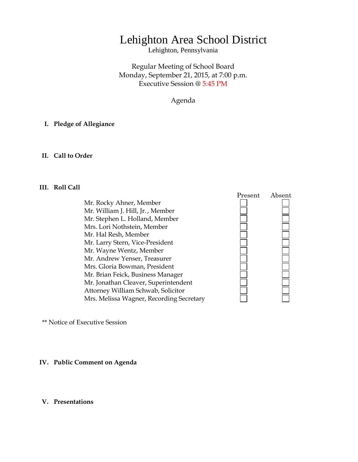# Lehighton Area School District

Lehighton, Pennsylvania

Regular Meeting of School Board Monday, September 21, 2015, at 7:00 p.m. Executive Session @ 5:45 PM

Agenda

### **I. Pledge of Allegiance**

### **II. Call to Order**

### **III. Roll Call**

Mr. Rocky Ahner, Member Mr. William J. Hill, Jr. , Member Mr. Stephen L. Holland, Member Mrs. Lori Nothstein, Member Mr. Hal Resh, Member Mr. Larry Stern, Vice-President Mr. Wayne Wentz, Member Mr. Andrew Yenser, Treasurer Mrs. Gloria Bowman, President Mr. Brian Feick, Business Manager Mr. Jonathan Cleaver, Superintendent Attorney William Schwab, Solicitor Mrs. Melissa Wagner, Recording Secretary



\*\* Notice of Executive Session

### **IV. Public Comment on Agenda**

### **V. Presentations**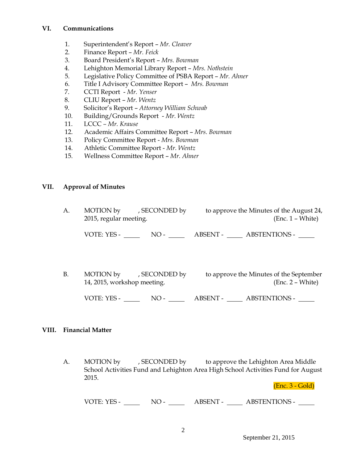### **VI. Communications**

- 1. Superintendent's Report *Mr. Cleaver*
- 2. Finance Report *Mr. Feick*
- 3. Board President's Report *Mrs. Bowman*
- 4. Lehighton Memorial Library Report *Mrs. Nothstein*
- 5. Legislative Policy Committee of PSBA Report *Mr. Ahner*
- 6. Title I Advisory Committee Report *Mrs. Bowman*
- 7. CCTI Report *Mr. Yenser*
- 8. CLIU Report *Mr. Wentz*
- 9. Solicitor's Report *Attorney William Schwab*
- 10. Building/Grounds Report *Mr. Wentz*
- 11. LCCC *– Mr. Krause*
- 12. Academic Affairs Committee Report *Mrs. Bowman*
- 13. Policy Committee Report *Mrs. Bowman*
- 14. Athletic Committee Report *Mr. Wentz*
- 15. Wellness Committee Report *Mr. Ahner*

# **VII. Approval of Minutes**

| А. | 2015, regular meeting. | MOTION by , SECONDED by | to approve the Minutes of the August 24,<br>$(Enc. 1 - White)$ |                                         |
|----|------------------------|-------------------------|----------------------------------------------------------------|-----------------------------------------|
|    | VOTE: YES -            | $NO-$                   |                                                                | ABSENT - ABSTENTIONS -                  |
|    |                        |                         |                                                                |                                         |
| B. | MOTION by              | , SECONDED by           |                                                                | to approve the Minutes of the September |

14, 2015, workshop meeting. (Enc. 2 – White)

VOTE: YES - NO - NO - ABSENT - ABSTENTIONS -

### **VIII. Financial Matter**

A. MOTION by , SECONDED by to approve the Lehighton Area Middle School Activities Fund and Lehighton Area High School Activities Fund for August 2015.

(Enc. 3 - Gold)

VOTE: YES - NO - NO - ABSENT - ABSTENTIONS -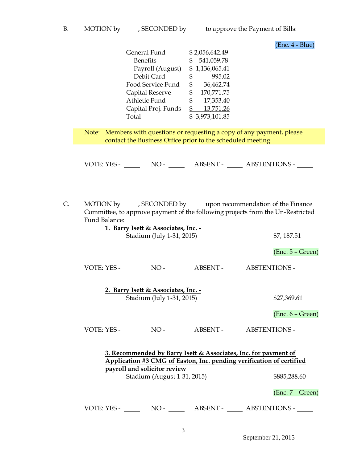(Enc. 4 - Blue)

| General Fund<br>--Benefits | \$2,056,642.49<br>541,059.78<br>S |  |  |
|----------------------------|-----------------------------------|--|--|
| --Payroll (August)         | \$1,136,065.41                    |  |  |
| --Debit Card               | 995.02<br>\$                      |  |  |
| Food Service Fund          | 36,462.74<br>\$                   |  |  |
| Capital Reserve            | 170,771.75<br>\$                  |  |  |
| Athletic Fund              | 17,353.40<br>\$                   |  |  |
| Capital Proj. Funds        | 13,751.26                         |  |  |
| Total                      | \$3,973,101.85                    |  |  |

Note: Members with questions or requesting a copy of any payment, please contact the Business Office prior to the scheduled meeting.

VOTE: YES - NO - NO - ABSENT - ABSTENTIONS -

C. MOTION by , SECONDED by upon recommendation of the Finance Committee, to approve payment of the following projects from the Un-Restricted Fund Balance: **1. Barry Isett & Associates, Inc. -**

| 1. Barry Isett & Associates, Inc. -<br>Stadium (July 1-31, 2015)                                                                                                                                                       |                                     |  | \$7, 187.51            |  |  |
|------------------------------------------------------------------------------------------------------------------------------------------------------------------------------------------------------------------------|-------------------------------------|--|------------------------|--|--|
|                                                                                                                                                                                                                        |                                     |  | $(Enc. 5 - Green)$     |  |  |
|                                                                                                                                                                                                                        |                                     |  |                        |  |  |
|                                                                                                                                                                                                                        | 2. Barry Isett & Associates, Inc. - |  |                        |  |  |
|                                                                                                                                                                                                                        | Stadium (July 1-31, 2015)           |  | \$27,369.61            |  |  |
|                                                                                                                                                                                                                        |                                     |  | $(Enc. 6 - Green)$     |  |  |
|                                                                                                                                                                                                                        |                                     |  |                        |  |  |
| 3. Recommended by Barry Isett & Associates, Inc. for payment of<br>Application #3 CMG of Easton, Inc. pending verification of certified<br>payroll and solicitor review<br>Stadium (August 1-31, 2015)<br>\$885,288.60 |                                     |  |                        |  |  |
|                                                                                                                                                                                                                        |                                     |  | $(Enc. 7 - Green)$     |  |  |
| VOTE: YES - $\_\_$                                                                                                                                                                                                     | $NO-$                               |  | ABSENT - ABSTENTIONS - |  |  |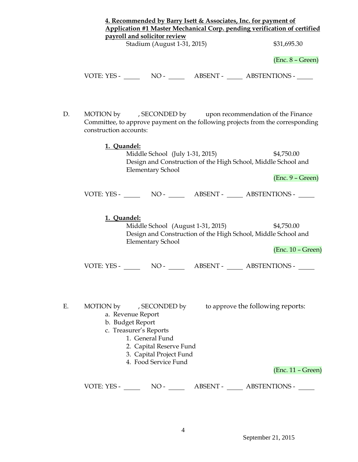|    | 4. Recommended by Barry Isett & Associates, Inc. for payment of<br>Application #1 Master Mechanical Corp. pending verification of certified<br>payroll and solicitor review                 |                                                          |  |  |  |  |
|----|---------------------------------------------------------------------------------------------------------------------------------------------------------------------------------------------|----------------------------------------------------------|--|--|--|--|
|    | Stadium (August 1-31, 2015)                                                                                                                                                                 | \$31,695.30                                              |  |  |  |  |
|    |                                                                                                                                                                                             | $(Enc. 8 - Green)$                                       |  |  |  |  |
|    |                                                                                                                                                                                             |                                                          |  |  |  |  |
| D. | MOTION by , SECONDED by upon recommendation of the Finance<br>Committee, to approve payment on the following projects from the corresponding<br>construction accounts:                      |                                                          |  |  |  |  |
|    | 1. Quandel:<br>Middle School (July 1-31, 2015)<br>Design and Construction of the High School, Middle School and<br><b>Elementary School</b>                                                 | \$4,750.00<br>$(Enc. 9 - Green)$                         |  |  |  |  |
|    |                                                                                                                                                                                             |                                                          |  |  |  |  |
|    | 1. Quandel:<br>Middle School (August 1-31, 2015)<br>Design and Construction of the High School, Middle School and<br><b>Elementary School</b>                                               | \$4,750.00<br>$(Enc. 10 - Green)$                        |  |  |  |  |
|    | VOTE: YES - NO - ABSENT - ABSTENTIONS -                                                                                                                                                     |                                                          |  |  |  |  |
| Е. | MOTION by , SECONDED by<br>a. Revenue Report<br>b. Budget Report<br>c. Treasurer's Reports<br>1. General Fund<br>2. Capital Reserve Fund<br>3. Capital Project Fund<br>4. Food Service Fund | to approve the following reports:<br>$(Enc. 11 - Green)$ |  |  |  |  |
|    | VOTE: YES - NO - NO - ABSENT - ABSTENTIONS -                                                                                                                                                |                                                          |  |  |  |  |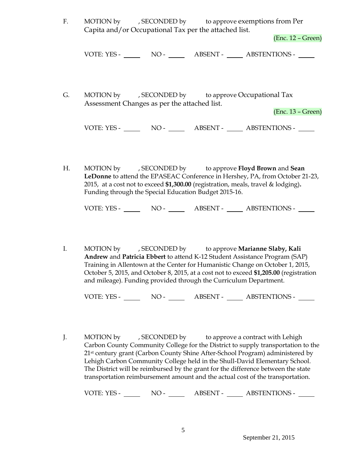F. MOTION by , SECONDED by to approve exemptions from Per Capita and/or Occupational Tax per the attached list.

(Enc. 12 – Green)

| VOTE: YES - | $NO -$ | <b>ABSENT -</b> | <b>ABSTENTIONS -</b> |
|-------------|--------|-----------------|----------------------|
|             |        |                 |                      |

G. MOTION by , SECONDED by to approve Occupational Tax Assessment Changes as per the attached list.

(Enc. 13 – Green)

VOTE: YES - NO - NO - ABSENT - ABSTENTIONS -

H. MOTION by , SECONDED by to approve **Floyd Brown** and **Sean LeDonne** to attend the EPASEAC Conference in Hershey, PA, from October 21-23, 2015, at a cost not to exceed **\$1,300.00** (registration, meals, travel & lodging)**.**  Funding through the Special Education Budget 2015-16.

VOTE: YES - NO - ABSENT - ABSTENTIONS -

I. MOTION by , SECONDED by to approve **Marianne Slaby, Kali Andrew** and **Patricia Ebbert** to attend K-12 Student Assistance Program (SAP) Training in Allentown at the Center for Humanistic Change on October 1, 2015, October 5, 2015, and October 8, 2015, at a cost not to exceed **\$1,205.00** (registration and mileage). Funding provided through the Curriculum Department.

VOTE: YES - NO - NO - ABSENT - ABSTENTIONS -

J. MOTION by , SECONDED by to approve a contract with Lehigh Carbon County Community College for the District to supply transportation to the 21<sup>st</sup> century grant (Carbon County Shine After-School Program) administered by Lehigh Carbon Community College held in the Shull-David Elementary School. The District will be reimbursed by the grant for the difference between the state transportation reimbursement amount and the actual cost of the transportation.

VOTE: YES - NO - NO - ABSENT - ABSTENTIONS -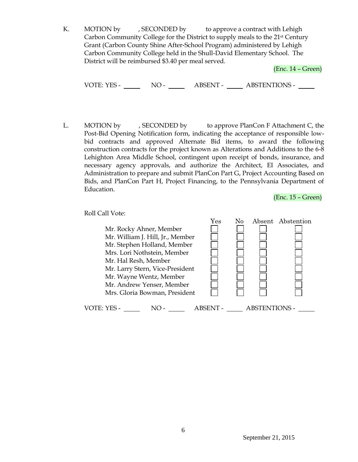K. MOTION by , SECONDED by to approve a contract with Lehigh Carbon Community College for the District to supply meals to the 21st Century Grant (Carbon County Shine After-School Program) administered by Lehigh Carbon Community College held in the Shull-David Elementary School. The District will be reimbursed \$3.40 per meal served.

(Enc. 14 – Green)

VOTE: YES - NO - NO - ABSENT - ABSTENTIONS -

L. MOTION by , SECONDED by to approve PlanCon F Attachment C, the Post-Bid Opening Notification form, indicating the acceptance of responsible lowbid contracts and approved Alternate Bid items, to award the following construction contracts for the project known as Alterations and Additions to the 6-8 Lehighton Area Middle School, contingent upon receipt of bonds, insurance, and necessary agency approvals, and authorize the Architect, EI Associates, and Administration to prepare and submit PlanCon Part G, Project Accounting Based on Bids, and PlanCon Part H, Project Financing, to the Pennsylvania Department of Education.

(Enc. 15 – Green)

Roll Call Vote:

|                                  | Yes    |                      | Absent Abstention |
|----------------------------------|--------|----------------------|-------------------|
| Mr. Rocky Ahner, Member          |        |                      |                   |
| Mr. William J. Hill, Jr., Member |        |                      |                   |
| Mr. Stephen Holland, Member      |        |                      |                   |
| Mrs. Lori Nothstein, Member      |        |                      |                   |
| Mr. Hal Resh, Member             |        |                      |                   |
| Mr. Larry Stern, Vice-President  |        |                      |                   |
| Mr. Wayne Wentz, Member          |        |                      |                   |
| Mr. Andrew Yenser, Member        |        |                      |                   |
| Mrs. Gloria Bowman, President    |        |                      |                   |
| VOTE: YES -                      | ABSENT | <b>ABSTENTIONS -</b> |                   |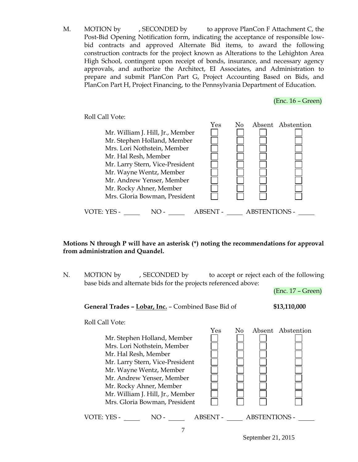M. MOTION by , SECONDED by to approve PlanCon F Attachment C, the Post-Bid Opening Notification form, indicating the acceptance of responsible lowbid contracts and approved Alternate Bid items, to award the following construction contracts for the project known as Alterations to the Lehighton Area High School, contingent upon receipt of bonds, insurance, and necessary agency approvals, and authorize the Architect, EI Associates, and Administration to prepare and submit PlanCon Part G, Project Accounting Based on Bids, and PlanCon Part H, Project Financing, to the Pennsylvania Department of Education.

Roll Call Vote: Yes No Absent Abstention Mr. William J. Hill, Jr., Member Mr. Stephen Holland, Member Mrs. Lori Nothstein, Member Mr. Hal Resh, Member Mr. Larry Stern, Vice-President Mr. Wayne Wentz, Member Mr. Andrew Yenser, Member Mr. Rocky Ahner, Member Mrs. Gloria Bowman, President VOTE: YES - NO - ABSENT - ABSTENTIONS -

 **Motions N through P will have an asterisk (\*) noting the recommendations for approval from administration and Quandel.**

N. MOTION by , SECONDED by to accept or reject each of the following base bids and alternate bids for the projects referenced above:

(Enc. 17 – Green)

(Enc. 16 – Green)

**General Trades – Lobar, Inc.** – Combined Base Bid of **\$13,110,000** 

Roll Call Vote:

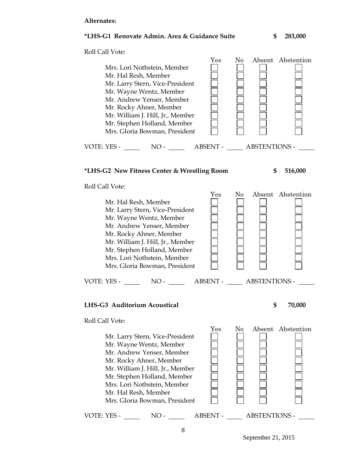### **Alternates:**

### **\*LHS-G1 Renovate Admin. Area & Guidance Suite \$ 283,000**



Roll Call Vote:

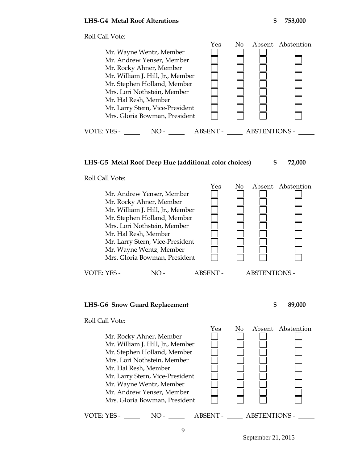

# **LHS-G5 Metal Roof Deep Hue (additional color choices) \$ 72,000**

Roll Call Vote:



### **LHS-G6 Snow Guard Replacement \$ 89,000**

Roll Call Vote:

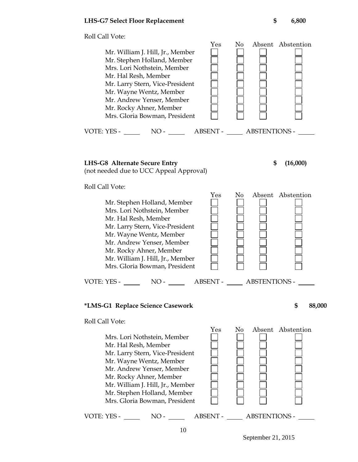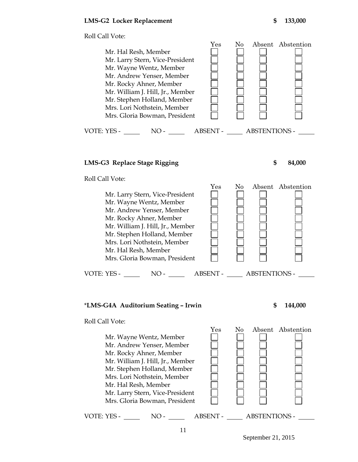

# **LMS-G3 Replace Stage Rigging \$ 84,000**



Roll Call Vote:



# \***LMS-G4A Auditorium Seating – Irwin \$ 144,000**

Roll Call Vote:

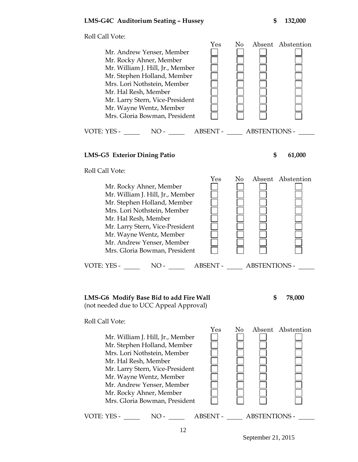

# **LMS-G5 Exterior Dining Patio \$ 61,000**

Roll Call Vote:



# **LMS-G6 Modify Base Bid to add Fire Wall \$ 78,000** (not needed due to UCC Appeal Approval)



Roll Call Vote:

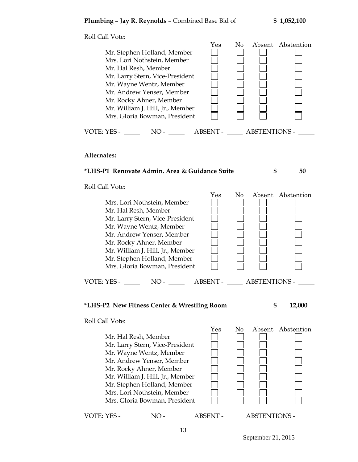Roll Call Vote: Yes No Absent Abstention Mr. Stephen Holland, Member Mrs. Lori Nothstein, Member Mr. Hal Resh, Member Mr. Larry Stern, Vice-President Mr. Wayne Wentz, Member Mr. Andrew Yenser, Member Mr. Rocky Ahner, Member Mr. William J. Hill, Jr., Member Mrs. Gloria Bowman, President VOTE: YES - NO - NO - ABSENT - ABSTENTIONS -**Alternates: \*LHS-P1 Renovate Admin. Area & Guidance Suite \$ 50** Roll Call Vote: Yes No Absent Abstention Mrs. Lori Nothstein, Member Mr. Hal Resh, Member Mr. Larry Stern, Vice-President Mr. Wayne Wentz, Member Mr. Andrew Yenser, Member Mr. Rocky Ahner, Member Mr. William J. Hill, Jr., Member Mr. Stephen Holland, Member Mrs. Gloria Bowman, President VOTE: YES - NO - NO - NO - ABSENT - ABSTENTIONS -**\*LHS-P2 New Fitness Center & Wrestling Room \$ 12,000** Roll Call Vote: Yes No Absent Abstention Mr. Hal Resh, Member Mr. Larry Stern, Vice-President Mr. Wayne Wentz, Member Mr. Andrew Yenser, Member Mr. Rocky Ahner, Member Mr. William J. Hill, Jr., Member Mr. Stephen Holland, Member Mrs. Lori Nothstein, Member

VOTE: YES - NO - NO - NO - ABSENT - ABSTENTIONS -

Mrs. Gloria Bowman, President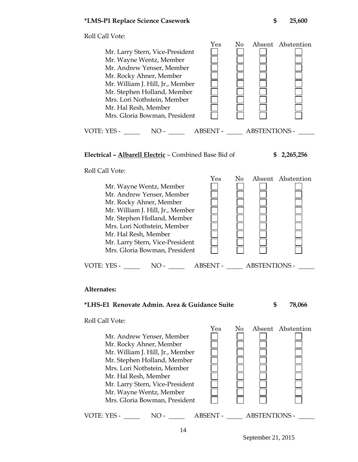Roll Call Vote: Yes No Absent Abstention Mr. Larry Stern, Vice-President Mr. Wayne Wentz, Member Mr. Andrew Yenser, Member Mr. Rocky Ahner, Member Mr. William J. Hill, Jr., Member Mr. Stephen Holland, Member Mrs. Lori Nothstein, Member Mr. Hal Resh, Member Mrs. Gloria Bowman, President VOTE: YES - NO - NO - ABSENT - ABSTENTIONS -**Electrical – Albarell Electric** – Combined Base Bid of **\$ 2,265,256** Roll Call Vote: Yes No Absent Abstention Mr. Wayne Wentz, Member Mr. Andrew Yenser, Member Mr. Rocky Ahner, Member Mr. William J. Hill, Jr., Member Mr. Stephen Holland, Member Mrs. Lori Nothstein, Member Mr. Hal Resh, Member Mr. Larry Stern, Vice-President Mrs. Gloria Bowman, President VOTE: YES - NO - ABSENT - ABSTENTIONS -

### **Alternates:**

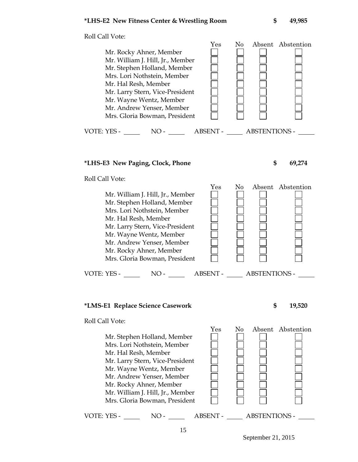Roll Call Vote: Yes No Absent Abstention Mr. Rocky Ahner, Member Mr. William J. Hill, Jr., Member Mr. Stephen Holland, Member Mrs. Lori Nothstein, Member Mr. Hal Resh, Member Mr. Larry Stern, Vice-President Mr. Wayne Wentz, Member Mr. Andrew Yenser, Member Mrs. Gloria Bowman, President VOTE: YES - NO - NO - ABSENT - ABSTENTIONS -

### **\*LHS-E3 New Paging, Clock, Phone \$ 69,274**

Roll Call Vote:

 Yes No Absent Abstention Mr. William J. Hill, Jr., Member Mr. Stephen Holland, Member Mrs. Lori Nothstein, Member Mr. Hal Resh, Member Mr. Larry Stern, Vice-President Mr. Wayne Wentz, Member Mr. Andrew Yenser, Member Mr. Rocky Ahner, Member Mrs. Gloria Bowman, President VOTE: YES - NO - NO - NO - ABSENT - ABSTENTIONS -

### **\*LMS-E1 Replace Science Casework \$ 19,520**

Roll Call Vote:

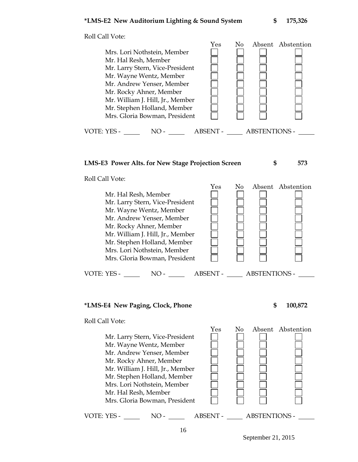

### **LMS-E3 Power Alts. for New Stage Projection Screen \$ 573**

Roll Call Vote:



### **\*LMS-E4 New Paging, Clock, Phone \$ 100,872**

Roll Call Vote:

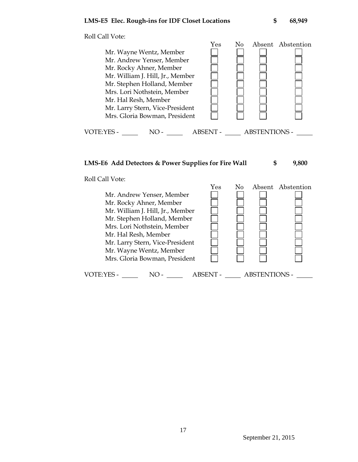Roll Call Vote: Yes No Absent Abstention Mr. Wayne Wentz, Member Mr. Andrew Yenser, Member Mr. Rocky Ahner, Member Mr. William J. Hill, Jr., Member Mr. Stephen Holland, Member Mrs. Lori Nothstein, Member Mr. Hal Resh, Member Mr. Larry Stern, Vice-President Mrs. Gloria Bowman, President VOTE:YES - NO - ABSENT - ABSTENTIONS -

### **LMS-E6 Add Detectors & Power Supplies for Fire Wall \$ 9,800**

Roll Call Vote:

 Yes No Absent Abstention Mr. Andrew Yenser, Member Mr. Rocky Ahner, Member Mr. William J. Hill, Jr., Member Mr. Stephen Holland, Member Mrs. Lori Nothstein, Member Mr. Hal Resh, Member Mr. Larry Stern, Vice-President Mr. Wayne Wentz, Member Mrs. Gloria Bowman, President VOTE:YES - NO - NO - ABSENT - ABSTENTIONS -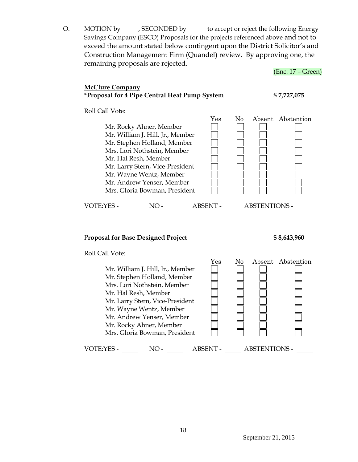O. MOTION by , SECONDED by to accept or reject the following Energy Savings Company (ESCO) Proposals for the projects referenced above and not to exceed the amount stated below contingent upon the District Solicitor's and Construction Management Firm (Quandel) review. By approving one, the remaining proposals are rejected.

# (Enc. 17 – Green) **McClure Company \*Proposal for 4 Pipe Central Heat Pump System \$ 7,727,075** Roll Call Vote: Yes No Absent Abstention Mr. Rocky Ahner, Member Mr. William J. Hill, Jr., Member Mr. Stephen Holland, Member Mrs. Lori Nothstein, Member Mr. Hal Resh, Member Mr. Larry Stern, Vice-President Mr. Wayne Wentz, Member Mr. Andrew Yenser, Member Mrs. Gloria Bowman, President VOTE:YES - NO - ABSENT - ABSTENTIONS - P**roposal for Base Designed Project \$ 8,643,960** Roll Call Vote: Yes No Absent Abstention Mr. William J. Hill, Jr., Member Mr. Stephen Holland, Member Mrs. Lori Nothstein, Member Mr. Hal Resh, Member Mr. Larry Stern, Vice-President Mr. Wayne Wentz, Member Mr. Andrew Yenser, Member Mr. Rocky Ahner, Member Mrs. Gloria Bowman, President VOTE:YES - NO - NO - ABSENT - ABSTENTIONS -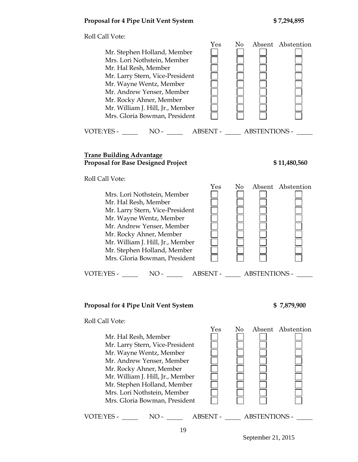# **Proposal for 4 Pipe Unit Vent System \$ 7,294,895**

Roll Call Vote:

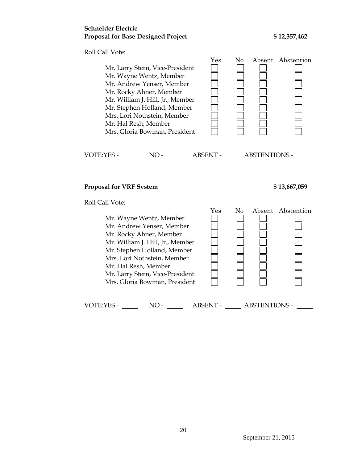# **Schneider Electric** Proposal for Base Designed Project \$12,357,462

Roll Call Vote:

| Mr. Larry Stern, Vice-President<br>Mr. Wayne Wentz, Member<br>Mr. Andrew Yenser, Member<br>Mr. Rocky Ahner, Member<br>Mr. William J. Hill, Jr., Member<br>Mr. Stephen Holland, Member<br>Mrs. Lori Nothstein, Member<br>Mr. Hal Resh, Member<br>Mrs. Gloria Bowman, President | $\operatorname{Yes}$ | No   |                        | Absent Abstention |
|-------------------------------------------------------------------------------------------------------------------------------------------------------------------------------------------------------------------------------------------------------------------------------|----------------------|------|------------------------|-------------------|
| VOTE:YES -<br>$NO-$<br><b>Proposal for VRF System</b>                                                                                                                                                                                                                         |                      |      | ABSENT - ABSTENTIONS - | \$13,667,059      |
| Roll Call Vote:<br><b>A</b> <i>f AT</i> <b>f</b> <i>AT</i> <b>f f f f f</b>                                                                                                                                                                                                   | $\operatorname{Yes}$ | No - |                        | Absent Abstention |

 Mr. Wayne Wentz, Member Mr. Andrew Yenser, Member Mr. Rocky Ahner, Member Mr. William J. Hill, Jr., Member Mr. Stephen Holland, Member Mrs. Lori Nothstein, Member Mr. Hal Resh, Member Mr. Larry Stern, Vice-President Mrs. Gloria Bowman, President VOTE:YES - NO - ABSENT - ABSTENTIONS -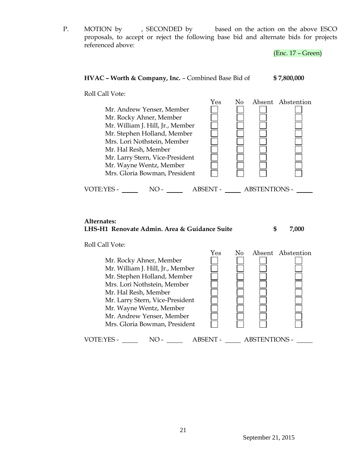P. MOTION by , SECONDED by based on the action on the above ESCO proposals, to accept or reject the following base bid and alternate bids for projects referenced above:

(Enc. 17 – Green)

# **HVAC – Worth & Company, Inc.** – Combined Base Bid of **\$ 7,800,000**

Roll Call Vote:



### **Alternates: LHS-H1 Renovate Admin. Area & Guidance Suite \$ 7,000**

Roll Call Vote:

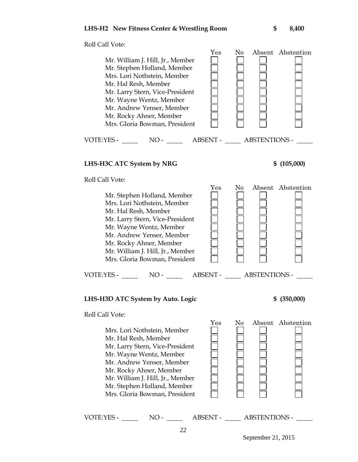

# **LHS-H3C ATC System by NRG \$ (105,000)**

Roll Call Vote:



# **LHS-H3D ATC System by Auto. Logic \$ (350,000)**



Roll Call Vote:



VOTE:YES - NO - ABSENT - ABSTENTIONS -

22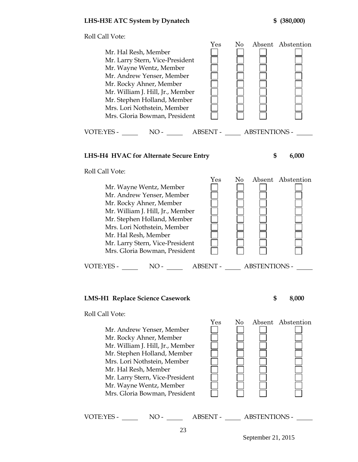Roll Call Vote: Yes No Absent Abstention Mr. Hal Resh, Member Mr. Larry Stern, Vice-President Mr. Wayne Wentz, Member Mr. Andrew Yenser, Member Mr. Rocky Ahner, Member Mr. William J. Hill, Jr., Member Mr. Stephen Holland, Member Mrs. Lori Nothstein, Member Mrs. Gloria Bowman, President VOTE:YES - NO - ABSENT - ABSTENTIONS - **LHS-H4 HVAC for Alternate Secure Entry \$ 6,000** Roll Call Vote: Yes No Absent Abstention Mr. Wayne Wentz, Member Mr. Andrew Yenser, Member Mr. Rocky Ahner, Member Mr. William J. Hill, Jr., Member Mr. Stephen Holland, Member Mrs. Lori Nothstein, Member Mr. Hal Resh, Member Mr. Larry Stern, Vice-President Mrs. Gloria Bowman, President VOTE:YES - NO - NO - ABSENT - ABSTENTIONS - NO **LMS-H1 Replace Science Casework \$ 8,000** Roll Call Vote: Yes No Absent Abstention Mr. Andrew Yenser, Member Mr. Rocky Ahner, Member Mr. William J. Hill, Jr., Member

 Mr. Stephen Holland, Member Mrs. Lori Nothstein, Member Mr. Hal Resh, Member Mr. Larry Stern, Vice-President Mr. Wayne Wentz, Member Mrs. Gloria Bowman, President VOTE:YES - NO - ABSENT - ABSTENTIONS -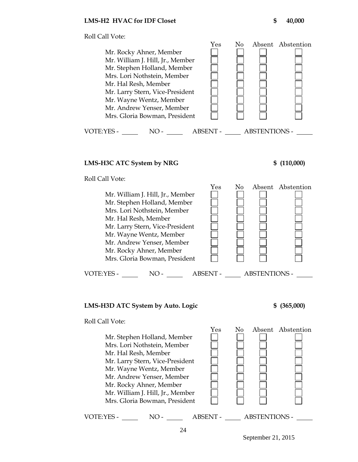

# **LMS-H3C ATC System by NRG \$ (110,000)**

Roll Call Vote:



# **LMS-H3D ATC System by Auto. Logic \$ (365,000)**

Roll Call Vote:

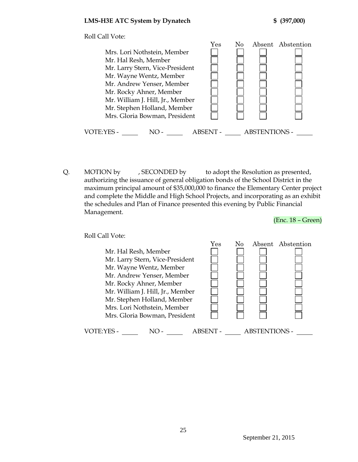

Q. MOTION by , SECONDED by to adopt the Resolution as presented, authorizing the issuance of general obligation bonds of the School District in the maximum principal amount of \$35,000,000 to finance the Elementary Center project and complete the Middle and High School Projects, and incorporating as an exhibit the schedules and Plan of Finance presented this evening by Public Financial Management.

(Enc. 18 – Green)

Roll Call Vote: Yes No Absent Abstention Mr. Hal Resh, Member Mr. Larry Stern, Vice-President Mr. Wayne Wentz, Member Mr. Andrew Yenser, Member Mr. Rocky Ahner, Member Mr. William J. Hill, Jr., Member Mr. Stephen Holland, Member Mrs. Lori Nothstein, Member Mrs. Gloria Bowman, President VOTE:YES - NO - NO - ABSENT - ABSTENTIONS -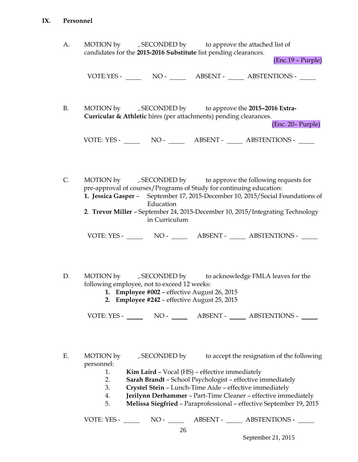### **IX. Personnel**

| А. | MOTION by | , SECONDED by | to approve the attached list of                                  |
|----|-----------|---------------|------------------------------------------------------------------|
|    |           |               | candidates for the 2015-2016 Substitute list pending clearances. |

(Enc.19 – Purple)

VOTE:YES - NO - NO - ABSENT - ABSTENTIONS -

B. MOTION by , SECONDED by to approve the **2015–2016 Extra-Curricular & Athletic** hires (per attachments) pending clearances.

(Enc. 20– Purple)

VOTE: YES - NO - NO - ABSENT - ABSTENTIONS -

C. MOTION by , SECONDED by to approve the following requests for pre-approval of courses/Programs of Study for continuing education: **1. Jessica Gasper** – September 17, 2015-December 10, 2015/Social Foundations of

Education

**2**. **Trevor Miller** – September 24, 2015-December 10, 2015/Integrating Technology in Curriculum

VOTE: YES - NO - NO - ABSENT - ABSTENTIONS -

- D. MOTION by , SECONDED by to acknowledge FMLA leaves for the following employee, not to exceed 12 weeks:
	- **1. Employee #002** effective August 26, 2015
	- **2. Employee #242** effective August 25, 2015

VOTE: YES - NO - NO - ABSENT - ABSTENTIONS - NO

E. MOTION by , SECONDED by to accept the resignation of the following personnel:

- 1. **Kim Laird** Vocal (HS) effective immediately
- 2. **Sarah Brandt** School Psychologist effective immediately
- 3. **Crystel Stein** Lunch-Time Aide effective immediately
- 4. **Jerilynn Derhammer** Part-Time Cleaner effective immediately
- 5. **Melissa Siegfried** Paraprofessional effective September 19, 2015

VOTE: YES - NO - ABSENT - ABSTENTIONS -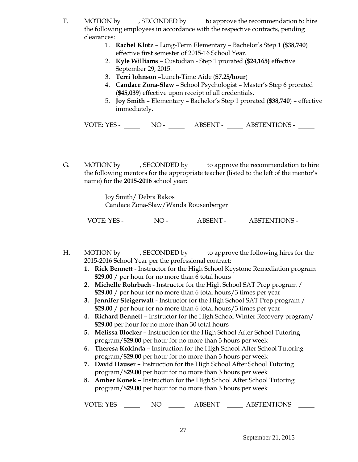- F. MOTION by , SECONDED by to approve the recommendation to hire the following employees in accordance with the respective contracts, pending clearances:
	- 1. **Rachel Klotz** Long-Term Elementary Bachelor's Step 1 **(\$38,740**) effective first semester of 2015-16 School Year.
	- 2. **Kyle Williams** Custodian Step 1 prorated (**\$24,165)** effective September 29, 2015.
	- 3. **Terri Johnson** –Lunch-Time Aide (**\$7.25/hour**)
	- 4. **Candace Zona-Slaw**  School Psychologist Master's Step 6 prorated (**\$45,039**) effective upon receipt of all credentials.
	- 5. **Joy Smith**  Elementary Bachelor's Step 1 prorated (**\$38,740**) effective immediately.

VOTE: YES - NO - NO - ABSENT - ABSTENTIONS -

G. MOTION by , SECONDED by to approve the recommendation to hire the following mentors for the appropriate teacher (listed to the left of the mentor's name) for the **2015-2016** school year:

> Joy Smith/ Debra Rakos Candace Zona-Slaw/Wanda Rousenberger

VOTE: YES - NO - NO - ABSENT - ABSTENTIONS -

- H. MOTION by , SECONDED by to approve the following hires for the 2015-2016 School Year per the professional contract:
	- **1. Rick Bennett** Instructor for the High School Keystone Remediation program **\$29.00** / per hour for no more than 6 total hours
	- **2. Michelle Rohrbach** Instructor for the High School SAT Prep program / **\$29.00** / per hour for no more than 6 total hours/3 times per year
	- **3. Jennifer Steigerwalt -** Instructor for the High School SAT Prep program / **\$29.00** / per hour for no more than 6 total hours/3 times per year
	- **4. Richard Bennett –** Instructor for the High School Winter Recovery program/ **\$29.00** per hour for no more than 30 total hours
	- **5. Melissa Blocker –** Instruction for the High School After School Tutoring program/**\$29.00** per hour for no more than 3 hours per week
	- **6. Theresa Kokinda –** Instruction for the High School After School Tutoring program/**\$29.00** per hour for no more than 3 hours per week
	- **7. David Hauser –** Instruction for the High School After School Tutoring program/**\$29.00** per hour for no more than 3 hours per week
	- **8. Amber Konek –** Instruction for the High School After School Tutoring program/**\$29.00** per hour for no more than 3 hours per week

VOTE: YES - NO - NO - ABSENT - ABSTENTIONS -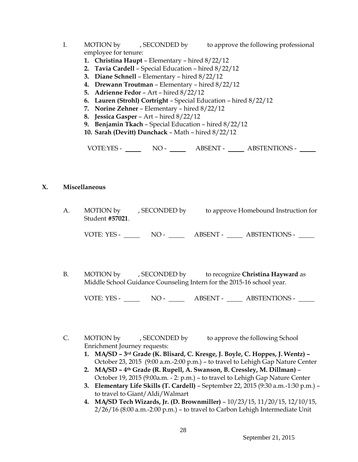- I. MOTION by , SECONDED by to approve the following professional employee for tenure:
	- **1. Christina Haupt** Elementary hired 8/22/12
	- **2. Tavia Cardell**  Special Education hired 8/22/12
	- **3. Diane Schnell**  Elementary hired 8/22/12
	- **4. Drewann Troutman**  Elementary hired 8/22/12
	- **5. Adrienne Fedor**  Art hired 8/22/12
	- **6. Lauren (Strohl) Cortright**  Special Education hired 8/22/12
	- **7. Norine Zehner**  Elementary hired 8/22/12
	- **8. Jessica Gasper**  Art hired 8/22/12
	- **9. Benjamin Tkach**  Special Education hired 8/22/12
	- **10. Sarah (Devitt) Dunchack**  Math hired 8/22/12

VOTE:YES - NO - ABSENT - ABSTENTIONS -

### **X. Miscellaneous**

A. MOTION by , SECONDED by to approve Homebound Instruction for Student **#57021**.

VOTE: YES - NO - ABSENT - ABSTENTIONS -

B. MOTION by , SECONDED by to recognize **Christina Hayward** as Middle School Guidance Counseling Intern for the 2015-16 school year.

VOTE: YES - NO - ABSENT - ABSTENTIONS -

C. MOTION by , SECONDED by to approve the following School Enrichment Journey requests:

- **1. MA/SD – 3rd Grade (K. Blisard, C. Kresge, J. Boyle, C. Hoppes, J. Wentz) –** October 23, 2015 (9:00 a.m.-2:00 p.m.) – to travel to Lehigh Gap Nature Center
- **2. MA/SD – 4th Grade (R. Rupell, A. Swanson, B. Cressley, M. Dillman)**  October 19, 2015 (9:00a.m. - 2: p.m.) – to travel to Lehigh Gap Nature Center
- **3. Elementary Life Skills (T. Cardell)** September 22, 2015 (9:30 a.m.-1:30 p.m.) to travel to Giant/Aldi/Walmart
- **4. MA/SD Tech Wizards, Jr. (D. Brownmiller)** 10/23/15, 11/20/15, 12/10/15, 2/26/16 (8:00 a.m.-2:00 p.m.) – to travel to Carbon Lehigh Intermediate Unit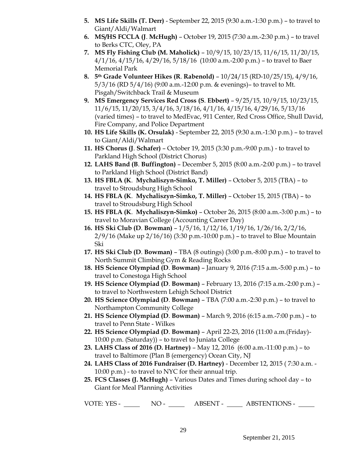- **5. MS Life Skills (T. Derr)** September 22, 2015 (9:30 a.m.-1:30 p.m.) to travel to Giant/Aldi/Walmart
- **6. MS/HS FCCLA (J**. **McHugh)** October 19, 2015 (7:30 a.m.-2:30 p.m.) to travel to Berks CTC, Oley, PA
- **7. MS Fly Fishing Club (M. Maholick)**  10/9/15, 10/23/15, 11/6/15, 11/20/15,  $4/1/16$ ,  $4/15/16$ ,  $4/29/16$ ,  $5/18/16$  (10:00 a.m.-2:00 p.m.) - to travel to Baer Memorial Park
- **8. 5th Grade Volunteer Hikes (R**. **Rabenold)** 10/24/15 (RD-10/25/15), 4/9/16, 5/3/16 (RD 5/4/16) (9:00 a.m.-12:00 p.m. & evenings)– to travel to Mt. Pisgah/Switchback Trail & Museum
- **9. MS Emergency Services Red Cross (S**. **Ebbert)** 9/25/15, 10/9/15, 10/23/15, 11/6/15, 11/20/15, 3/4/16, 3/18/16, 4/1/16, 4/15/16, 4/29/16, 5/13/16 (varied times) – to travel to MedEvac, 911 Center, Red Cross Office, Shull David, Fire Company, and Police Department
- **10. HS Life Skills (K. Orsulak)** September 22, 2015 (9:30 a.m.-1:30 p.m.) to travel to Giant/Aldi/Walmart
- **11. HS Chorus (J**. **Schafer)** October 19, 2015 (3:30 p.m.-9:00 p.m.) to travel to Parkland High School (District Chorus)
- **12. LAHS Band (B**. **Buffington)** December 5, 2015 (8:00 a.m.-2:00 p.m.) to travel to Parkland High School (District Band)
- **13. HS FBLA (K**. **Mychaliszyn-Simko, T. Miller)** October 5, 2015 (TBA) to travel to Stroudsburg High School
- **14. HS FBLA (K**. **Mychaliszyn-Simko, T. Miller)** October 15, 2015 (TBA) to travel to Stroudsburg High School
- **15. HS FBLA (K**. **Mychaliszyn-Simko)** October 26, 2015 (8:00 a.m.-3:00 p.m.) to travel to Moravian College (Accounting Career Day)
- **16. HS Ski Club (D**. **Bowman)** 1/5/16, 1/12/16, 1/19/16, 1/26/16, 2/2/16, 2/9/16 (Make up 2/16/16) (3:30 p.m.-10:00 p.m.) – to travel to Blue Mountain Ski
- **17. HS Ski Club (D**. **Bowman)** TBA (8 outings) (3:00 p.m.-8:00 p.m.) to travel to North Summit Climbing Gym & Reading Rocks
- **18. HS Science Olympiad (D**. **Bowman)** January 9, 2016 (7:15 a.m.-5:00 p.m.) to travel to Conestoga High School
- **19. HS Science Olympiad (D**. **Bowman)** February 13, 2016 (7:15 a.m.-2:00 p.m.) to travel to Northwestern Lehigh School District
- **20. HS Science Olympiad (D**. **Bowman)** TBA (7:00 a.m.-2:30 p.m.) to travel to Northampton Community College
- **21. HS Science Olympiad (D**. **Bowman)** March 9, 2016 (6:15 a.m.-7:00 p.m.) to travel to Penn State - Wilkes
- **22. HS Science Olympiad (D**. **Bowman)** April 22-23, 2016 (11:00 a.m.(Friday)- 10:00 p.m. (Saturday)) – to travel to Juniata College
- **23. LAHS Class of 2016 (D. Hartney)** May 12, 2016 (6:00 a.m.-11:00 p.m.) to travel to Baltimore (Plan B (emergency) Ocean City, NJ
- **24. LAHS Class of 2016 Fundraiser (D. Hartney)** December 12, 2015 ( 7:30 a.m. 10:00 p.m.) - to travel to NYC for their annual trip.
- **25. FCS Classes (J. McHugh)** Various Dates and Times during school day to Giant for Meal Planning Activities

VOTE: YES - NO - NO - ABSENT - ABSTENTIONS -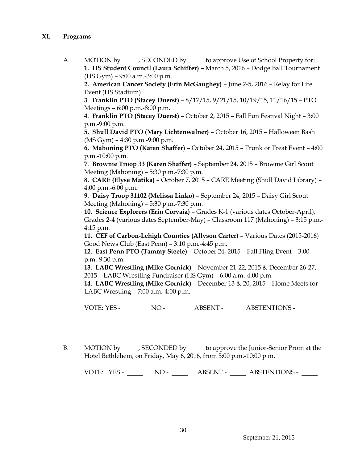- **XI. Programs**
	- A. MOTION by , SECONDED by to approve Use of School Property for: **1. HS Student Council (Laura Schiffer) –** March 5, 2016 – Dodge Ball Tournament (HS Gym) – 9:00 a.m.-3:00 p.m.

**2. American Cancer Society (Erin McGaughey)** – June 2-5, 2016 – Relay for Life Event (HS Stadium)

**3**. **Franklin PTO (Stacey Duerst)** – 8/17/15, 9/21/15, 10/19/15, 11/16/15 – PTO Meetings – 6:00 p.m.-8:00 p.m.

**4**. **Franklin PTO (Stacey Duerst)** – October 2, 2015 – Fall Fun Festival Night – 3:00 p.m.-9:00 p.m.

**5. Shull David PTO (Mary Lichtenwalner)** – October 16, 2015 – Halloween Bash (MS Gym) – 4:30 p.m.-9:00 p.m.

**6. Mahoning PTO (Karen Shaffer)** – October 24, 2015 – Trunk or Treat Event – 4:00 p.m.-10:00 p.m.

**7**. **Brownie Troop 33 (Karen Shaffer)** – September 24, 2015 – Brownie Girl Scout Meeting (Mahoning) – 5:30 p.m.-7:30 p.m.

**8. CARE (Elyse Matika)** – October 7, 2015 – CARE Meeting (Shull David Library) – 4:00 p.m.-6:00 p.m.

**9**. **Daisy Troop 31102 (Melissa Linko)** – September 24, 2015 – Daisy Girl Scout Meeting (Mahoning) – 5:30 p.m.-7:30 p.m.

**10**. **Science Explorers (Erin Corvaia)** – Grades K-1 (various dates October-April), Grades 2-4 (various dates September-May) – Classroom 117 (Mahoning) – 3:15 p.m.- 4:15 p.m.

**11**. **CEF of Carbon-Lehigh Counties (Allyson Carter)** – Various Dates (2015-2016) Good News Club (East Penn) – 3:10 p.m.-4:45 p.m.

**12**. **East Penn PTO (Tammy Steele)** – October 24, 2015 – Fall Fling Event – 3:00 p.m.-9:30 p.m.

**13**. **LABC Wrestling (Mike Gornick)** – November 21-22, 2015 & December 26-27, 2015 – LABC Wrestling Fundraiser (HS Gym) – 6:00 a.m.-4:00 p.m.

**14**. **LABC Wrestling (Mike Gornick)** – December 13 & 20, 2015 – Home Meets for LABC Wrestling – 7:00 a.m.-4:00 p.m.

VOTE: YES - NO - ABSENT - ABSTENTIONS -

B. MOTION by , SECONDED by to approve the Junior-Senior Prom at the Hotel Bethlehem, on Friday, May 6, 2016, from 5:00 p.m.-10:00 p.m.

VOTE: YES - NO - ABSENT - ABSTENTIONS -